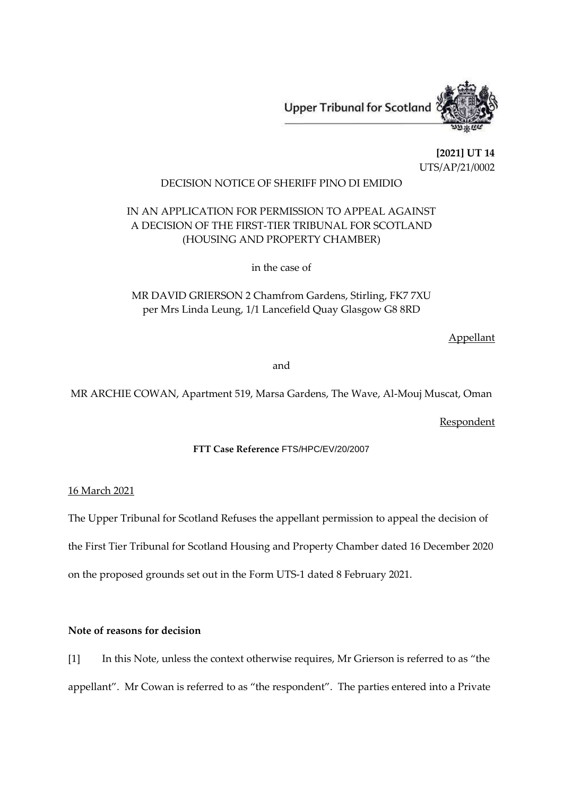

**[2021] UT 14** UTS/AP/21/0002

## DECISION NOTICE OF SHERIFF PINO DI EMIDIO

# IN AN APPLICATION FOR PERMISSION TO APPEAL AGAINST A DECISION OF THE FIRST-TIER TRIBUNAL FOR SCOTLAND (HOUSING AND PROPERTY CHAMBER)

in the case of

MR DAVID GRIERSON 2 Chamfrom Gardens, Stirling, FK7 7XU per Mrs Linda Leung, 1/1 Lancefield Quay Glasgow G8 8RD

Appellant

and

MR ARCHIE COWAN, Apartment 519, Marsa Gardens, The Wave, Al-Mouj Muscat, Oman

**Respondent** 

**FTT Case Reference** FTS/HPC/EV/20/2007

16 March 2021

The Upper Tribunal for Scotland Refuses the appellant permission to appeal the decision of the First Tier Tribunal for Scotland Housing and Property Chamber dated 16 December 2020 on the proposed grounds set out in the Form UTS-1 dated 8 February 2021.

**Note of reasons for decision**

[1] In this Note, unless the context otherwise requires, Mr Grierson is referred to as "the appellant". Mr Cowan is referred to as "the respondent". The parties entered into a Private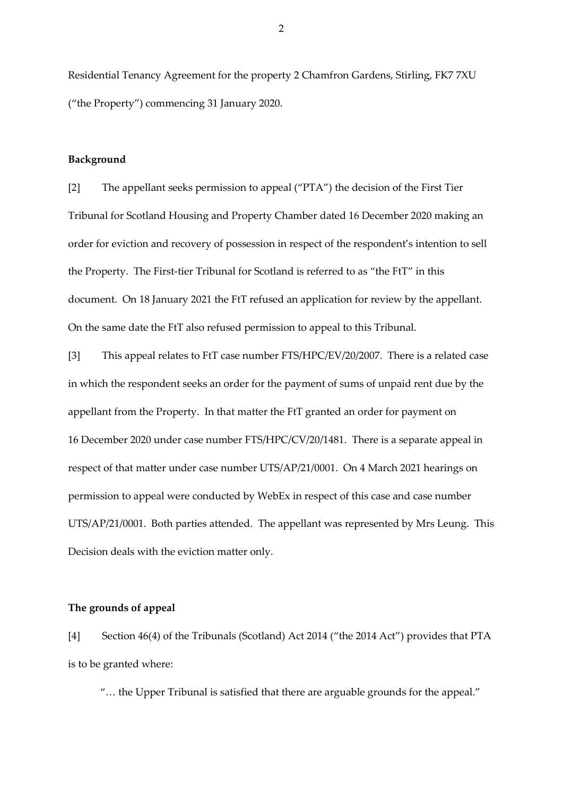Residential Tenancy Agreement for the property 2 Chamfron Gardens, Stirling, FK7 7XU ("the Property") commencing 31 January 2020.

#### **Background**

[2] The appellant seeks permission to appeal ("PTA") the decision of the First Tier Tribunal for Scotland Housing and Property Chamber dated 16 December 2020 making an order for eviction and recovery of possession in respect of the respondent's intention to sell the Property. The First-tier Tribunal for Scotland is referred to as "the FtT" in this document. On 18 January 2021 the FtT refused an application for review by the appellant. On the same date the FtT also refused permission to appeal to this Tribunal.

[3] This appeal relates to FtT case number FTS/HPC/EV/20/2007. There is a related case in which the respondent seeks an order for the payment of sums of unpaid rent due by the appellant from the Property. In that matter the FtT granted an order for payment on 16 December 2020 under case number FTS/HPC/CV/20/1481. There is a separate appeal in respect of that matter under case number UTS/AP/21/0001. On 4 March 2021 hearings on permission to appeal were conducted by WebEx in respect of this case and case number UTS/AP/21/0001. Both parties attended. The appellant was represented by Mrs Leung. This Decision deals with the eviction matter only.

### **The grounds of appeal**

[4] Section 46(4) of the Tribunals (Scotland) Act 2014 ("the 2014 Act") provides that PTA is to be granted where:

"… the Upper Tribunal is satisfied that there are arguable grounds for the appeal."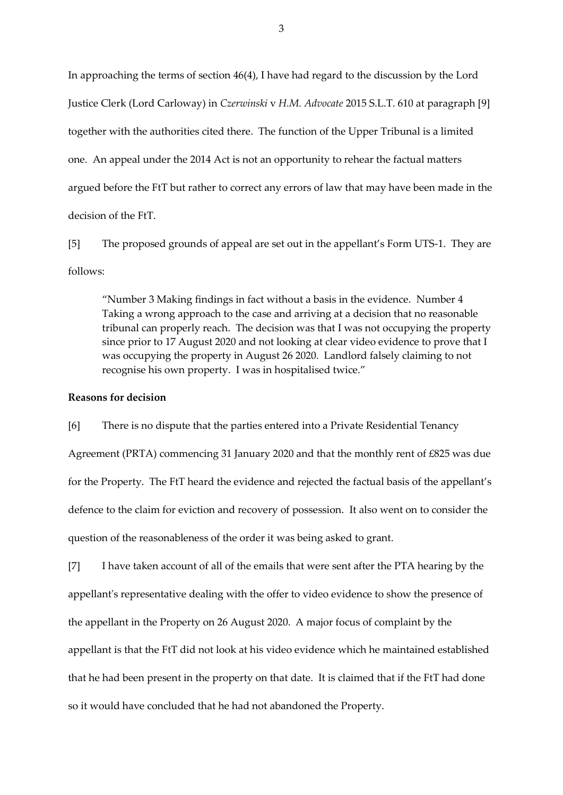In approaching the terms of section 46(4), I have had regard to the discussion by the Lord Justice Clerk (Lord Carloway) in *Czerwinski* v *H.M. Advocate* 2015 S.L.T. 610 at paragraph [9] together with the authorities cited there. The function of the Upper Tribunal is a limited one. An appeal under the 2014 Act is not an opportunity to rehear the factual matters argued before the FtT but rather to correct any errors of law that may have been made in the decision of the FtT.

[5] The proposed grounds of appeal are set out in the appellant's Form UTS-1. They are follows:

"Number 3 Making findings in fact without a basis in the evidence. Number 4 Taking a wrong approach to the case and arriving at a decision that no reasonable tribunal can properly reach. The decision was that I was not occupying the property since prior to 17 August 2020 and not looking at clear video evidence to prove that I was occupying the property in August 26 2020. Landlord falsely claiming to not recognise his own property. I was in hospitalised twice."

#### **Reasons for decision**

[6] There is no dispute that the parties entered into a Private Residential Tenancy Agreement (PRTA) commencing 31 January 2020 and that the monthly rent of £825 was due for the Property. The FtT heard the evidence and rejected the factual basis of the appellant's defence to the claim for eviction and recovery of possession. It also went on to consider the question of the reasonableness of the order it was being asked to grant.

[7] I have taken account of all of the emails that were sent after the PTA hearing by the appellant's representative dealing with the offer to video evidence to show the presence of the appellant in the Property on 26 August 2020. A major focus of complaint by the appellant is that the FtT did not look at his video evidence which he maintained established that he had been present in the property on that date. It is claimed that if the FtT had done so it would have concluded that he had not abandoned the Property.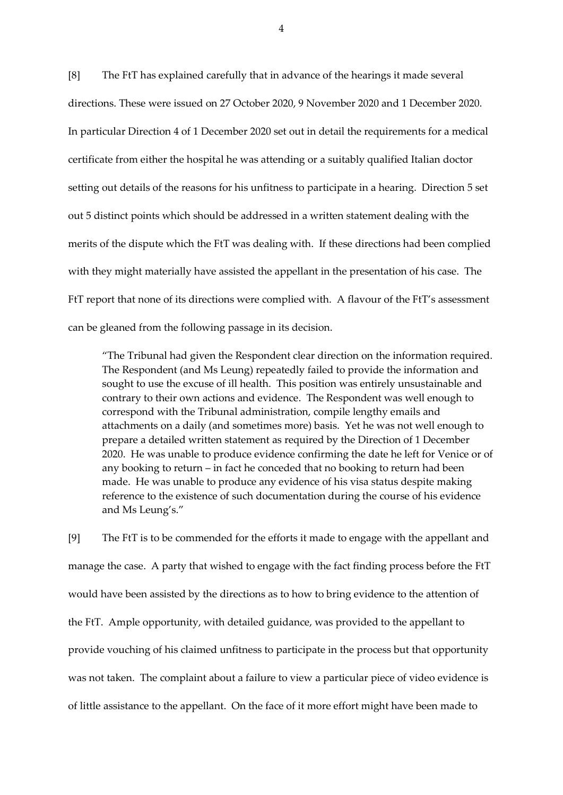[8] The FtT has explained carefully that in advance of the hearings it made several directions. These were issued on 27 October 2020, 9 November 2020 and 1 December 2020. In particular Direction 4 of 1 December 2020 set out in detail the requirements for a medical certificate from either the hospital he was attending or a suitably qualified Italian doctor setting out details of the reasons for his unfitness to participate in a hearing. Direction 5 set out 5 distinct points which should be addressed in a written statement dealing with the merits of the dispute which the FtT was dealing with. If these directions had been complied with they might materially have assisted the appellant in the presentation of his case. The FtT report that none of its directions were complied with. A flavour of the FtT's assessment can be gleaned from the following passage in its decision.

"The Tribunal had given the Respondent clear direction on the information required. The Respondent (and Ms Leung) repeatedly failed to provide the information and sought to use the excuse of ill health. This position was entirely unsustainable and contrary to their own actions and evidence. The Respondent was well enough to correspond with the Tribunal administration, compile lengthy emails and attachments on a daily (and sometimes more) basis. Yet he was not well enough to prepare a detailed written statement as required by the Direction of 1 December 2020. He was unable to produce evidence confirming the date he left for Venice or of any booking to return – in fact he conceded that no booking to return had been made. He was unable to produce any evidence of his visa status despite making reference to the existence of such documentation during the course of his evidence and Ms Leung's."

[9] The FtT is to be commended for the efforts it made to engage with the appellant and manage the case. A party that wished to engage with the fact finding process before the FtT would have been assisted by the directions as to how to bring evidence to the attention of the FtT. Ample opportunity, with detailed guidance, was provided to the appellant to provide vouching of his claimed unfitness to participate in the process but that opportunity was not taken. The complaint about a failure to view a particular piece of video evidence is of little assistance to the appellant. On the face of it more effort might have been made to

4